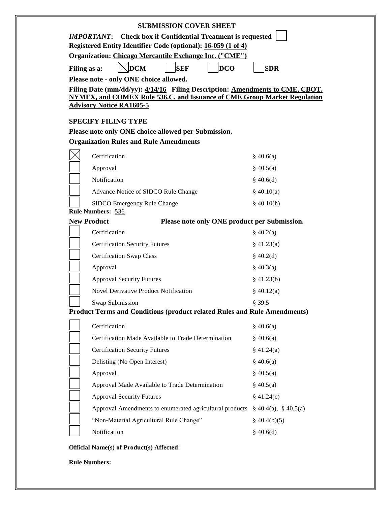| <b>SUBMISSION COVER SHEET</b>                                                                                           |                            |
|-------------------------------------------------------------------------------------------------------------------------|----------------------------|
| <b>Check box if Confidential Treatment is requested</b><br><i><b>IMPORTANT:</b></i>                                     |                            |
| Registered Entity Identifier Code (optional): 16-059 (1 of 4)<br>Organization: Chicago Mercantile Exchange Inc. ("CME") |                            |
|                                                                                                                         |                            |
| $\overline{DCM}$<br><b>DCO</b><br><b>SEF</b><br>Filing as a:<br>Please note - only ONE choice allowed.                  | <b>SDR</b>                 |
| Filing Date (mm/dd/yy): 4/14/16 Filing Description: Amendments to CME, CBOT,                                            |                            |
| NYMEX, and COMEX Rule 536.C. and Issuance of CME Group Market Regulation                                                |                            |
| <b>Advisory Notice RA1605-5</b>                                                                                         |                            |
| <b>SPECIFY FILING TYPE</b>                                                                                              |                            |
| Please note only ONE choice allowed per Submission.                                                                     |                            |
| <b>Organization Rules and Rule Amendments</b>                                                                           |                            |
| Certification                                                                                                           | \$40.6(a)                  |
| Approval                                                                                                                | $\frac{8}{9}$ 40.5(a)      |
| Notification                                                                                                            | \$40.6(d)                  |
| Advance Notice of SIDCO Rule Change                                                                                     | \$40.10(a)                 |
| SIDCO Emergency Rule Change                                                                                             | \$40.10(h)                 |
| <b>Rule Numbers: 536</b>                                                                                                |                            |
| <b>New Product</b><br>Please note only ONE product per Submission.                                                      |                            |
| Certification                                                                                                           | \$40.2(a)                  |
| <b>Certification Security Futures</b>                                                                                   | $§$ 41.23(a)               |
| <b>Certification Swap Class</b>                                                                                         | \$40.2(d)                  |
| Approval                                                                                                                | \$40.3(a)                  |
| <b>Approval Security Futures</b>                                                                                        | $§$ 41.23(b)               |
| <b>Novel Derivative Product Notification</b>                                                                            | \$40.12(a)                 |
| Swap Submission<br><b>Product Terms and Conditions (product related Rules and Rule Amendments)</b>                      | § 39.5                     |
|                                                                                                                         |                            |
| Certification                                                                                                           | \$40.6(a)                  |
| Certification Made Available to Trade Determination                                                                     | \$40.6(a)                  |
| <b>Certification Security Futures</b>                                                                                   | \$41.24(a)                 |
| Delisting (No Open Interest)                                                                                            | \$40.6(a)                  |
| Approval                                                                                                                | \$40.5(a)                  |
| Approval Made Available to Trade Determination                                                                          | $\S$ 40.5(a)               |
| <b>Approval Security Futures</b>                                                                                        | \$41.24(c)                 |
| Approval Amendments to enumerated agricultural products                                                                 | $\S$ 40.4(a), $\S$ 40.5(a) |
| "Non-Material Agricultural Rule Change"                                                                                 | $\S$ 40.4(b)(5)            |
| Notification                                                                                                            | \$40.6(d)                  |

**Rule Numbers:**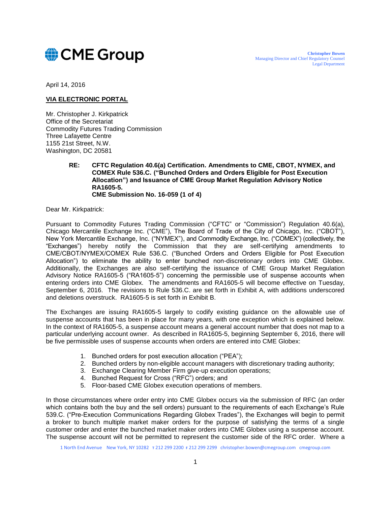# CME Group

April 14, 2016

# **VIA ELECTRONIC PORTAL**

Mr. Christopher J. Kirkpatrick Office of the Secretariat Commodity Futures Trading Commission Three Lafayette Centre 1155 21st Street, N.W. Washington, DC 20581

> **RE: CFTC Regulation 40.6(a) Certification. Amendments to CME, CBOT, NYMEX, and COMEX Rule 536.C. ("Bunched Orders and Orders Eligible for Post Execution Allocation") and Issuance of CME Group Market Regulation Advisory Notice RA1605-5. CME Submission No. 16-059 (1 of 4)**

Dear Mr. Kirkpatrick:

Pursuant to Commodity Futures Trading Commission ("CFTC" or "Commission") Regulation 40.6(a), Chicago Mercantile Exchange Inc. ("CME"), The Board of Trade of the City of Chicago, Inc. ("CBOT"), New York Mercantile Exchange, Inc. ("NYMEX"), and Commodity Exchange, Inc. ("COMEX") (collectively, the "Exchanges") hereby notify the Commission that they are self-certifying amendments to CME/CBOT/NYMEX/COMEX Rule 536.C. ("Bunched Orders and Orders Eligible for Post Execution Allocation") to eliminate the ability to enter bunched non-discretionary orders into CME Globex. Additionally, the Exchanges are also self-certifying the issuance of CME Group Market Regulation Advisory Notice RA1605-5 ("RA1605-5") concerning the permissible use of suspense accounts when entering orders into CME Globex. The amendments and RA1605-5 will become effective on Tuesday, September 6, 2016. The revisions to Rule 536.C. are set forth in Exhibit A, with additions underscored and deletions overstruck. RA1605-5 is set forth in Exhibit B.

The Exchanges are issuing RA1605-5 largely to codify existing guidance on the allowable use of suspense accounts that has been in place for many years, with one exception which is explained below. In the context of RA1605-5, a suspense account means a general account number that does not map to a particular underlying account owner. As described in RA1605-5, beginning September 6, 2016, there will be five permissible uses of suspense accounts when orders are entered into CME Globex:

- 1. Bunched orders for post execution allocation ("PEA");
- 2. Bunched orders by non-eligible account managers with discretionary trading authority;
- 3. Exchange Clearing Member Firm give-up execution operations;
- 4. Bunched Request for Cross ("RFC") orders; and
- 5. Floor-based CME Globex execution operations of members.

In those circumstances where order entry into CME Globex occurs via the submission of RFC (an order which contains both the buy and the sell orders) pursuant to the requirements of each Exchange's Rule 539.C. ("Pre-Execution Communications Regarding Globex Trades"), the Exchanges will begin to permit a broker to bunch multiple market maker orders for the purpose of satisfying the terms of a single customer order and enter the bunched market maker orders into CME Globex using a suspense account. The suspense account will not be permitted to represent the customer side of the RFC order. Where a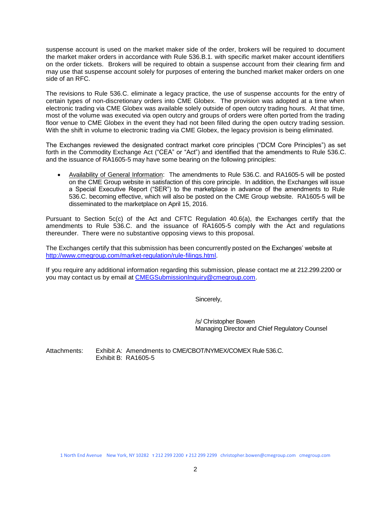suspense account is used on the market maker side of the order, brokers will be required to document the market maker orders in accordance with Rule 536.B.1. with specific market maker account identifiers on the order tickets. Brokers will be required to obtain a suspense account from their clearing firm and may use that suspense account solely for purposes of entering the bunched market maker orders on one side of an RFC.

The revisions to Rule 536.C. eliminate a legacy practice, the use of suspense accounts for the entry of certain types of non-discretionary orders into CME Globex. The provision was adopted at a time when electronic trading via CME Globex was available solely outside of open outcry trading hours. At that time, most of the volume was executed via open outcry and groups of orders were often ported from the trading floor venue to CME Globex in the event they had not been filled during the open outcry trading session. With the shift in volume to electronic trading via CME Globex, the legacy provision is being eliminated.

The Exchanges reviewed the designated contract market core principles ("DCM Core Principles") as set forth in the Commodity Exchange Act ("CEA" or "Act") and identified that the amendments to Rule 536.C. and the issuance of RA1605-5 may have some bearing on the following principles:

 Availability of General Information: The amendments to Rule 536.C. and RA1605-5 will be posted on the CME Group website in satisfaction of this core principle. In addition, the Exchanges will issue a Special Executive Report ("SER") to the marketplace in advance of the amendments to Rule 536.C. becoming effective, which will also be posted on the CME Group website. RA1605-5 will be disseminated to the marketplace on April 15, 2016.

Pursuant to Section 5c(c) of the Act and CFTC Regulation 40.6(a), the Exchanges certify that the amendments to Rule 536.C. and the issuance of RA1605-5 comply with the Act and regulations thereunder. There were no substantive opposing views to this proposal.

The Exchanges certify that this submission has been concurrently posted on the Exchanges' website at [http://www.cmegroup.com/market-regulation/rule-filings.html.](http://www.cmegroup.com/market-regulation/rule-filings.html)

If you require any additional information regarding this submission, please contact me at 212.299.2200 or you may contact us by email at [CMEGSubmissionInquiry@cmegroup.com.](mailto:CMEGSubmissionInquiry@cmegroup.com)

Sincerely,

/s/ Christopher Bowen Managing Director and Chief Regulatory Counsel

Attachments: Exhibit A: Amendments to CME/CBOT/NYMEX/COMEX Rule 536.C. Exhibit B: RA1605-5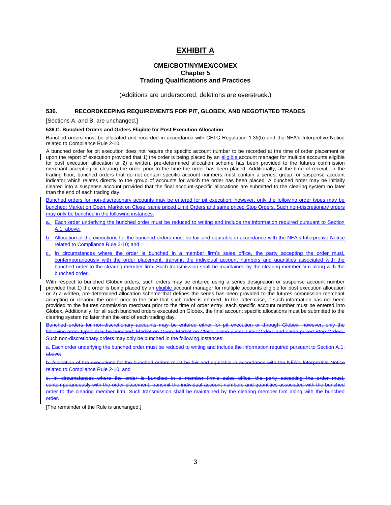# **EXHIBIT A**

# **CME/CBOT/NYMEX/COMEX Chapter 5 Trading Qualifications and Practices**

(Additions are underscored; deletions are everstruck.)

#### **536. RECORDKEEPING REQUIREMENTS FOR PIT, GLOBEX, AND NEGOTIATED TRADES**

[Sections A. and B. are unchanged.]

#### **536.C. Bunched Orders and Orders Eligible for Post Execution Allocation**

Bunched orders must be allocated and recorded in accordance with CFTC Regulation 1.35(b) and the NFA's Interpretive Notice related to Compliance Rule 2-10.

A bunched order for pit execution does not require the specific account number to be recorded at the time of order placement or upon the report of execution provided that 1) the order is being placed by an eligible account manager for multiple accounts eligible for post execution allocation or 2) a written, pre-determined allocation scheme has been provided to the futures commission merchant accepting or clearing the order prior to the time the order has been placed. Additionally, at the time of receipt on the trading floor, bunched orders that do not contain specific account numbers must contain a series, group, or suspense account indicator which relates directly to the group of accounts for which the order has been placed. A bunched order may be initially cleared into a suspense account provided that the final account-specific allocations are submitted to the clearing system no later than the end of each trading day.

Bunched orders for non-discretionary accounts may be entered for pit execution; however, only the following order types may be bunched: Market on Open, Market on Close, same priced Limit Orders and same priced Stop Orders. Such non-discretionary orders may only be bunched in the following instances:

- a. Each order underlying the bunched order must be reduced to writing and include the information required pursuant to Section A.1. above;
- b. Allocation of the executions for the bunched orders must be fair and equitable in accordance with the NFA's Interpretive Notice related to Compliance Rule 2-10; and
- c. In circumstances where the order is bunched in a member firm's sales office, the party accepting the order must, contemporaneously with the order placement, transmit the individual account numbers and quantities associated with the bunched order to the clearing member firm. Such transmission shall be maintained by the clearing member firm along with the bunched order.

With respect to bunched Globex orders, such orders may be entered using a series designation or suspense account number provided that 1) the order is being placed by an eligible account manager for multiple accounts eligible for post execution allocation or 2) a written, pre-determined allocation scheme that defines the series has been provided to the futures commission merchant accepting or clearing the order prior to the time that such order is entered. In the latter case, if such information has not been provided to the futures commission merchant prior to the time of order entry, each specific account number must be entered into Globex. Additionally, for all such bunched orders executed on Globex, the final account specific allocations must be submitted to the clearing system no later than the end of each trading day.

Bunched orders for non-discretionary accounts may be entered either for pit execution or through Globex; however, only the following order types may be bunched: Market on Open, Market on Close, same priced Limit Orders and same priced Stop Orders. discretionary orders may only be bunched in the following

a. Each order underlying the bunched order must be reduced to writing and include the information required pursuant to Section A.1. above;

b. Allocation of the executions for the bunched orders must be fair and equitable in accordance with the NFA's Interpretive Notice related to Compliance Rule 2-10; and

c. In circumstances where the order is bunched in a member firm's sales office, the party accepting the order must, contemporaneously with the order placement, transmit the individual account numbers and quantities associated with the bunched<br>order to the clearing member firm. Such transmission shall be maintained by the clearing member to the clearing member firm. Such transmission shall be maintained by the clearing member firm order.

[The remainder of the Rule is unchanged.]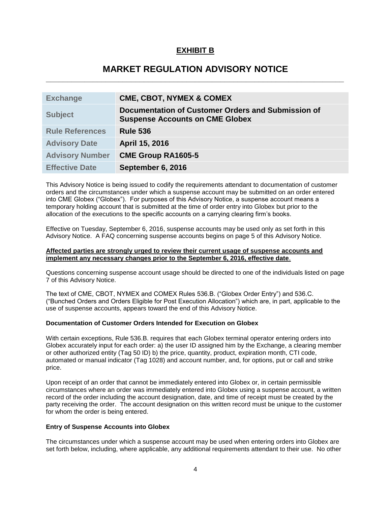# **EXHIBIT B**

# **MARKET REGULATION ADVISORY NOTICE \_\_\_\_\_\_\_\_\_\_\_\_\_\_\_\_\_\_\_\_\_\_\_\_\_\_\_\_\_\_\_\_\_\_\_\_\_\_\_\_\_\_\_\_\_\_\_\_\_\_\_\_\_\_\_\_\_\_\_\_\_\_\_\_\_\_\_\_\_\_**

| <b>Exchange</b>        | <b>CME, CBOT, NYMEX &amp; COMEX</b>                                                          |
|------------------------|----------------------------------------------------------------------------------------------|
| <b>Subject</b>         | Documentation of Customer Orders and Submission of<br><b>Suspense Accounts on CME Globex</b> |
| <b>Rule References</b> | <b>Rule 536</b>                                                                              |
| <b>Advisory Date</b>   | April 15, 2016                                                                               |
| <b>Advisory Number</b> | <b>CME Group RA1605-5</b>                                                                    |
| <b>Effective Date</b>  | September 6, 2016                                                                            |

This Advisory Notice is being issued to codify the requirements attendant to documentation of customer orders and the circumstances under which a suspense account may be submitted on an order entered into CME Globex ("Globex"). For purposes of this Advisory Notice, a suspense account means a temporary holding account that is submitted at the time of order entry into Globex but prior to the allocation of the executions to the specific accounts on a carrying clearing firm's books.

Effective on Tuesday, September 6, 2016, suspense accounts may be used only as set forth in this Advisory Notice. A FAQ concerning suspense accounts begins on page 5 of this Advisory Notice.

#### **Affected parties are strongly urged to review their current usage of suspense accounts and implement any necessary changes prior to the September 6, 2016, effective date**.

Questions concerning suspense account usage should be directed to one of the individuals listed on page 7 of this Advisory Notice.

The text of CME, CBOT, NYMEX and COMEX Rules 536.B. ("Globex Order Entry") and 536.C. ("Bunched Orders and Orders Eligible for Post Execution Allocation") which are, in part, applicable to the use of suspense accounts, appears toward the end of this Advisory Notice.

# **Documentation of Customer Orders Intended for Execution on Globex**

With certain exceptions, Rule 536.B. requires that each Globex terminal operator entering orders into Globex accurately input for each order: a) the user ID assigned him by the Exchange, a clearing member or other authorized entity (Tag 50 ID) b) the price, quantity, product, expiration month, CTI code, automated or manual indicator (Tag 1028) and account number, and, for options, put or call and strike price.

Upon receipt of an order that cannot be immediately entered into Globex or, in certain permissible circumstances where an order was immediately entered into Globex using a suspense account, a written record of the order including the account designation, date, and time of receipt must be created by the party receiving the order. The account designation on this written record must be unique to the customer for whom the order is being entered.

# **Entry of Suspense Accounts into Globex**

The circumstances under which a suspense account may be used when entering orders into Globex are set forth below, including, where applicable, any additional requirements attendant to their use. No other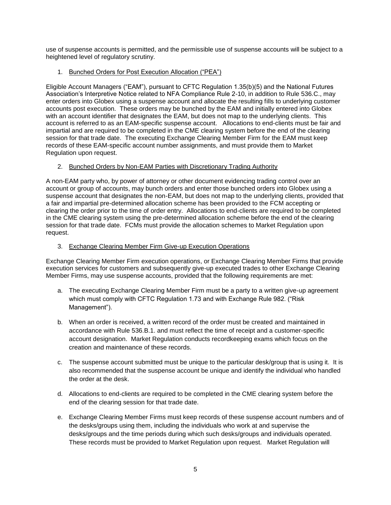use of suspense accounts is permitted, and the permissible use of suspense accounts will be subject to a heightened level of regulatory scrutiny.

# 1. Bunched Orders for Post Execution Allocation ("PEA")

Eligible Account Managers ("EAM"), pursuant to CFTC Regulation 1.35(b)(5) and the National Futures Association's Interpretive Notice related to NFA Compliance Rule 2-10, in addition to Rule 536.C., may enter orders into Globex using a suspense account and allocate the resulting fills to underlying customer accounts post execution. These orders may be bunched by the EAM and initially entered into Globex with an account identifier that designates the EAM, but does not map to the underlying clients. This account is referred to as an EAM-specific suspense account. Allocations to end-clients must be fair and impartial and are required to be completed in the CME clearing system before the end of the clearing session for that trade date. The executing Exchange Clearing Member Firm for the EAM must keep records of these EAM-specific account number assignments, and must provide them to Market Regulation upon request.

# 2. Bunched Orders by Non-EAM Parties with Discretionary Trading Authority

A non-EAM party who, by power of attorney or other document evidencing trading control over an account or group of accounts, may bunch orders and enter those bunched orders into Globex using a suspense account that designates the non-EAM, but does not map to the underlying clients, provided that a fair and impartial pre-determined allocation scheme has been provided to the FCM accepting or clearing the order prior to the time of order entry. Allocations to end-clients are required to be completed in the CME clearing system using the pre-determined allocation scheme before the end of the clearing session for that trade date. FCMs must provide the allocation schemes to Market Regulation upon request.

# 3. Exchange Clearing Member Firm Give-up Execution Operations

Exchange Clearing Member Firm execution operations, or Exchange Clearing Member Firms that provide execution services for customers and subsequently give-up executed trades to other Exchange Clearing Member Firms, may use suspense accounts, provided that the following requirements are met:

- a. The executing Exchange Clearing Member Firm must be a party to a written give-up agreement which must comply with CFTC Regulation 1.73 and with Exchange Rule 982. ("Risk Management").
- b. When an order is received, a written record of the order must be created and maintained in accordance with Rule 536.B.1. and must reflect the time of receipt and a customer-specific account designation. Market Regulation conducts recordkeeping exams which focus on the creation and maintenance of these records.
- c. The suspense account submitted must be unique to the particular desk/group that is using it. It is also recommended that the suspense account be unique and identify the individual who handled the order at the desk.
- d. Allocations to end-clients are required to be completed in the CME clearing system before the end of the clearing session for that trade date.
- e. Exchange Clearing Member Firms must keep records of these suspense account numbers and of the desks/groups using them, including the individuals who work at and supervise the desks/groups and the time periods during which such desks/groups and individuals operated. These records must be provided to Market Regulation upon request. Market Regulation will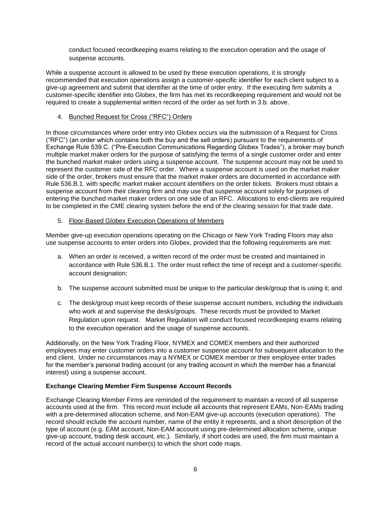conduct focused recordkeeping exams relating to the execution operation and the usage of suspense accounts.

While a suspense account is allowed to be used by these execution operations, it is strongly recommended that execution operations assign a customer-specific identifier for each client subject to a give-up agreement and submit that identifier at the time of order entry. If the executing firm submits a customer-specific identifier into Globex, the firm has met its recordkeeping requirement and would not be required to create a supplemental written record of the order as set forth in 3.b. above.

# 4. Bunched Request for Cross ("RFC") Orders

In those circumstances where order entry into Globex occurs via the submission of a Request for Cross ("RFC") (an order which contains both the buy and the sell orders) pursuant to the requirements of Exchange Rule 539.C. ("Pre-Execution Communications Regarding Globex Trades"), a broker may bunch multiple market maker orders for the purpose of satisfying the terms of a single customer order and enter the bunched market maker orders using a suspense account. The suspense account may not be used to represent the customer side of the RFC order. Where a suspense account is used on the market maker side of the order, brokers must ensure that the market maker orders are documented in accordance with Rule 536.B.1. with specific market maker account identifiers on the order tickets. Brokers must obtain a suspense account from their clearing firm and may use that suspense account solely for purposes of entering the bunched market maker orders on one side of an RFC. Allocations to end-clients are required to be completed in the CME clearing system before the end of the clearing session for that trade date.

# 5. Floor-Based Globex Execution Operations of Members

Member give-up execution operations operating on the Chicago or New York Trading Floors may also use suspense accounts to enter orders into Globex, provided that the following requirements are met:

- a. When an order is received, a written record of the order must be created and maintained in accordance with Rule 536.B.1. The order must reflect the time of receipt and a customer-specific account designation;
- b. The suspense account submitted must be unique to the particular desk/group that is using it; and
- c. The desk/group must keep records of these suspense account numbers, including the individuals who work at and supervise the desks/groups. These records must be provided to Market Regulation upon request. Market Regulation will conduct focused recordkeeping exams relating to the execution operation and the usage of suspense accounts.

Additionally, on the New York Trading Floor, NYMEX and COMEX members and their authorized employees may enter customer orders into a customer suspense account for subsequent allocation to the end client. Under no circumstances may a NYMEX or COMEX member or their employee enter trades for the member's personal trading account (or any trading account in which the member has a financial interest) using a suspense account.

# **Exchange Clearing Member Firm Suspense Account Records**

Exchange Clearing Member Firms are reminded of the requirement to maintain a record of all suspense accounts used at the firm. This record must include all accounts that represent EAMs, Non-EAMs trading with a pre-determined allocation scheme, and Non-EAM give-up accounts (execution operations). The record should include the account number, name of the entity it represents, and a short description of the type of account (e.g. EAM account, Non-EAM account using pre-determined allocation scheme, unique give-up account, trading desk account, etc.). Similarly, if short codes are used, the firm must maintain a record of the actual account number(s) to which the short code maps.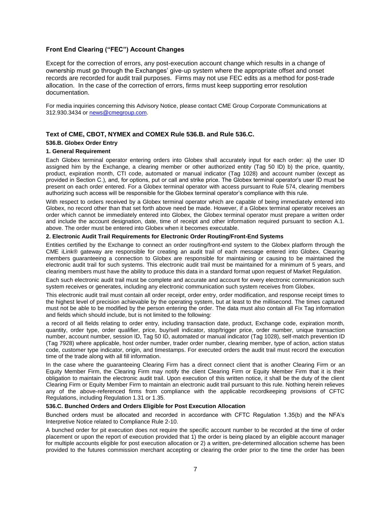# **Front End Clearing ("FEC") Account Changes**

Except for the correction of errors, any post-execution account change which results in a change of ownership must go through the Exchanges' give-up system where the appropriate offset and onset records are recorded for audit trail purposes. Firms may not use FEC edits as a method for post-trade allocation. In the case of the correction of errors, firms must keep supporting error resolution documentation.

For media inquiries concerning this Advisory Notice, please contact CME Group Corporate Communications at 312.930.3434 or [news@cmegroup.com.](mailto:news@cmegroup.com)

#### **Text of CME, CBOT, NYMEX and COMEX Rule 536.B. and Rule 536.C.**

#### **536.B. Globex Order Entry**

#### **1. General Requirement**

Each Globex terminal operator entering orders into Globex shall accurately input for each order: a) the user ID assigned him by the Exchange, a clearing member or other authorized entity (Tag 50 ID) b) the price, quantity, product, expiration month, CTI code, automated or manual indicator (Tag 1028) and account number (except as provided in Section C.), and, for options, put or call and strike price. The Globex terminal operator's user ID must be present on each order entered. For a Globex terminal operator with access pursuant to Rule 574, clearing members authorizing such access will be responsible for the Globex terminal operator's compliance with this rule.

With respect to orders received by a Globex terminal operator which are capable of being immediately entered into Globex, no record other than that set forth above need be made. However, if a Globex terminal operator receives an order which cannot be immediately entered into Globex, the Globex terminal operator must prepare a written order and include the account designation, date, time of receipt and other information required pursuant to section A.1. above. The order must be entered into Globex when it becomes executable.

#### **2. Electronic Audit Trail Requirements for Electronic Order Routing/Front-End Systems**

Entities certified by the Exchange to connect an order routing/front-end system to the Globex platform through the CME iLink® gateway are responsible for creating an audit trail of each message entered into Globex. Clearing members guaranteeing a connection to Globex are responsible for maintaining or causing to be maintained the electronic audit trail for such systems. This electronic audit trail must be maintained for a minimum of 5 years, and clearing members must have the ability to produce this data in a standard format upon request of Market Regulation.

Each such electronic audit trail must be complete and accurate and account for every electronic communication such system receives or generates, including any electronic communication such system receives from Globex.

This electronic audit trail must contain all order receipt, order entry, order modification, and response receipt times to the highest level of precision achievable by the operating system, but at least to the millisecond. The times captured must not be able to be modified by the person entering the order. The data must also contain all Fix Tag information and fields which should include, but is not limited to the following:

a record of all fields relating to order entry, including transaction date, product, Exchange code, expiration month, quantity, order type, order qualifier, price, buy/sell indicator, stop/trigger price, order number, unique transaction number, account number, session ID, Tag 50 ID, automated or manual indicator (Tag 1028), self-match prevention ID (Tag 7928) where applicable, host order number, trader order number, clearing member, type of action, action status code, customer type indicator, origin, and timestamps. For executed orders the audit trail must record the execution time of the trade along with all fill information.

In the case where the guaranteeing Clearing Firm has a direct connect client that is another Clearing Firm or an Equity Member Firm, the Clearing Firm may notify the client Clearing Firm or Equity Member Firm that it is their obligation to maintain the electronic audit trail. Upon execution of this written notice, it shall be the duty of the client Clearing Firm or Equity Member Firm to maintain an electronic audit trail pursuant to this rule. Nothing herein relieves any of the above-referenced firms from compliance with the applicable recordkeeping provisions of CFTC Regulations, including Regulation 1.31 or 1.35.

#### **536.C. Bunched Orders and Orders Eligible for Post Execution Allocation**

Bunched orders must be allocated and recorded in accordance with CFTC Regulation 1.35(b) and the NFA's Interpretive Notice related to Compliance Rule 2-10.

A bunched order for pit execution does not require the specific account number to be recorded at the time of order placement or upon the report of execution provided that 1) the order is being placed by an eligible account manager for multiple accounts eligible for post execution allocation or 2) a written, pre-determined allocation scheme has been provided to the futures commission merchant accepting or clearing the order prior to the time the order has been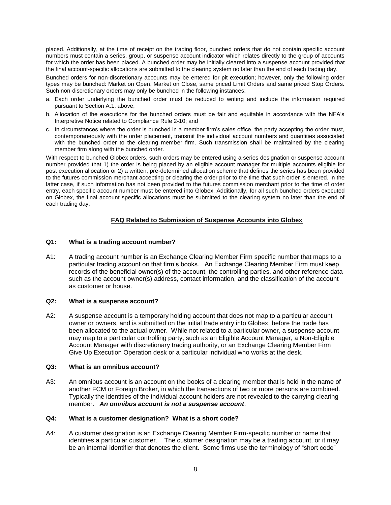placed. Additionally, at the time of receipt on the trading floor, bunched orders that do not contain specific account numbers must contain a series, group, or suspense account indicator which relates directly to the group of accounts for which the order has been placed. A bunched order may be initially cleared into a suspense account provided that the final account-specific allocations are submitted to the clearing system no later than the end of each trading day.

Bunched orders for non-discretionary accounts may be entered for pit execution; however, only the following order types may be bunched: Market on Open, Market on Close, same priced Limit Orders and same priced Stop Orders. Such non-discretionary orders may only be bunched in the following instances:

- a. Each order underlying the bunched order must be reduced to writing and include the information required pursuant to Section A.1. above;
- b. Allocation of the executions for the bunched orders must be fair and equitable in accordance with the NFA's Interpretive Notice related to Compliance Rule 2-10; and
- c. In circumstances where the order is bunched in a member firm's sales office, the party accepting the order must, contemporaneously with the order placement, transmit the individual account numbers and quantities associated with the bunched order to the clearing member firm. Such transmission shall be maintained by the clearing member firm along with the bunched order.

With respect to bunched Globex orders, such orders may be entered using a series designation or suspense account number provided that 1) the order is being placed by an eligible account manager for multiple accounts eligible for post execution allocation or 2) a written, pre-determined allocation scheme that defines the series has been provided to the futures commission merchant accepting or clearing the order prior to the time that such order is entered. In the latter case, if such information has not been provided to the futures commission merchant prior to the time of order entry, each specific account number must be entered into Globex. Additionally, for all such bunched orders executed on Globex, the final account specific allocations must be submitted to the clearing system no later than the end of each trading day.

# **FAQ Related to Submission of Suspense Accounts into Globex**

# **Q1: What is a trading account number?**

A1: A trading account number is an Exchange Clearing Member Firm specific number that maps to a particular trading account on that firm's books. An Exchange Clearing Member Firm must keep records of the beneficial owner(s) of the account, the controlling parties, and other reference data such as the account owner(s) address, contact information, and the classification of the account as customer or house.

# **Q2: What is a suspense account?**

A2: A suspense account is a temporary holding account that does not map to a particular account owner or owners, and is submitted on the initial trade entry into Globex, before the trade has been allocated to the actual owner. While not related to a particular owner, a suspense account may map to a particular controlling party, such as an Eligible Account Manager, a Non-Eligible Account Manager with discretionary trading authority, or an Exchange Clearing Member Firm Give Up Execution Operation desk or a particular individual who works at the desk.

#### **Q3: What is an omnibus account?**

A3: An omnibus account is an account on the books of a clearing member that is held in the name of another FCM or Foreign Broker, in which the transactions of two or more persons are combined. Typically the identities of the individual account holders are not revealed to the carrying clearing member. *An omnibus account is not a suspense account*.

# **Q4: What is a customer designation? What is a short code?**

A4: A customer designation is an Exchange Clearing Member Firm-specific number or name that identifies a particular customer. The customer designation may be a trading account, or it may be an internal identifier that denotes the client. Some firms use the terminology of "short code"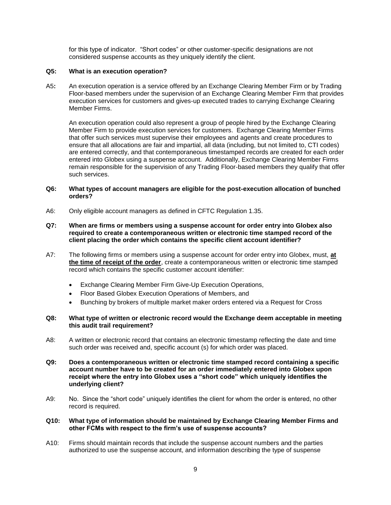for this type of indicator. "Short codes" or other customer-specific designations are not considered suspense accounts as they uniquely identify the client.

# **Q5: What is an execution operation?**

A5**:** An execution operation is a service offered by an Exchange Clearing Member Firm or by Trading Floor-based members under the supervision of an Exchange Clearing Member Firm that provides execution services for customers and gives-up executed trades to carrying Exchange Clearing Member Firms.

An execution operation could also represent a group of people hired by the Exchange Clearing Member Firm to provide execution services for customers. Exchange Clearing Member Firms that offer such services must supervise their employees and agents and create procedures to ensure that all allocations are fair and impartial, all data (including, but not limited to, CTI codes) are entered correctly, and that contemporaneous timestamped records are created for each order entered into Globex using a suspense account. Additionally, Exchange Clearing Member Firms remain responsible for the supervision of any Trading Floor-based members they qualify that offer such services.

# **Q6: What types of account managers are eligible for the post-execution allocation of bunched orders?**

- A6: Only eligible account managers as defined in CFTC Regulation 1.35.
- **Q7: When are firms or members using a suspense account for order entry into Globex also required to create a contemporaneous written or electronic time stamped record of the client placing the order which contains the specific client account identifier?**
- A7: The following firms or members using a suspense account for order entry into Globex, must, **at the time of receipt of the order**, create a contemporaneous written or electronic time stamped record which contains the specific customer account identifier:
	- Exchange Clearing Member Firm Give-Up Execution Operations,
	- Floor Based Globex Execution Operations of Members, and
	- Bunching by brokers of multiple market maker orders entered via a Request for Cross

# **Q8: What type of written or electronic record would the Exchange deem acceptable in meeting this audit trail requirement?**

- A8: A written or electronic record that contains an electronic timestamp reflecting the date and time such order was received and, specific account (s) for which order was placed.
- **Q9: Does a contemporaneous written or electronic time stamped record containing a specific account number have to be created for an order immediately entered into Globex upon receipt where the entry into Globex uses a "short code" which uniquely identifies the underlying client?**
- A9: No. Since the "short code" uniquely identifies the client for whom the order is entered, no other record is required.

# **Q10: What type of information should be maintained by Exchange Clearing Member Firms and other FCMs with respect to the firm's use of suspense accounts?**

A10: Firms should maintain records that include the suspense account numbers and the parties authorized to use the suspense account, and information describing the type of suspense